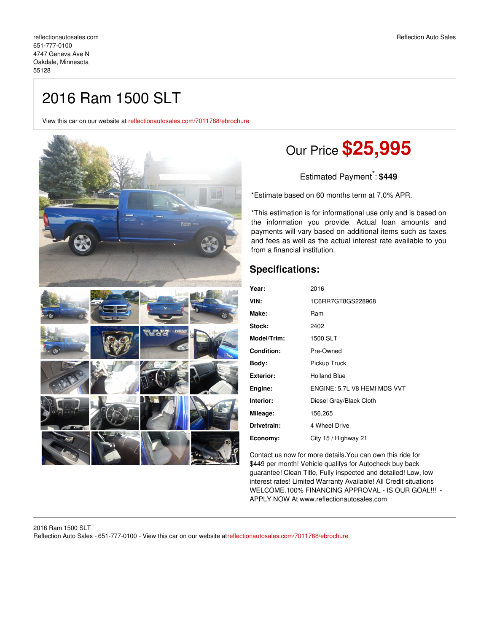# 2016 Ram 1500 SLT

View this car on our website at [reflectionautosales.com/7011768/ebrochure](https://reflectionautosales.com/vehicle/7011768/2016-ram-1500-slt-oakdale-minnesota-55128/7011768/ebrochure)



# Our Price **\$25,995**

Estimated Payment<sup>\*</sup>: \$449

\*Estimate based on 60 months term at 7.0% APR.

\*This estimation is for informational use only and is based on the information you provide. Actual loan amounts and payments will vary based on additional items such as taxes and fees as well as the actual interest rate available to you from a financial institution.

# **Specifications:**

| Year:             | 2016                         |
|-------------------|------------------------------|
| VIN:              | 1C6RR7GT8GS228968            |
| Make:             | Ram                          |
| Stock:            | 2402                         |
| Model/Trim:       | 1500 SLT                     |
| <b>Condition:</b> | Pre-Owned                    |
| Body:             | Pickup Truck                 |
| <b>Exterior:</b>  | <b>Holland Blue</b>          |
| Engine:           | FNGINE: 5.7L V8 HEMI MDS VVT |
| Interior:         | Diesel Gray/Black Cloth      |
| Mileage:          | 156,265                      |
| Drivetrain:       | 4 Wheel Drive                |
| Economy:          | City 15 / Highway 21         |

Contact us now for more details.You can own this ride for \$449 per month! Vehicle qualifys for Autocheck buy back guarantee! Clean Title, Fully inspected and detailed! Low, low interest rates! Limited Warranty Available! All Credit situations WELCOME.100% FINANCING APPROVAL - IS OUR GOAL!!! - APPLY NOW At www.reflectionautosales.com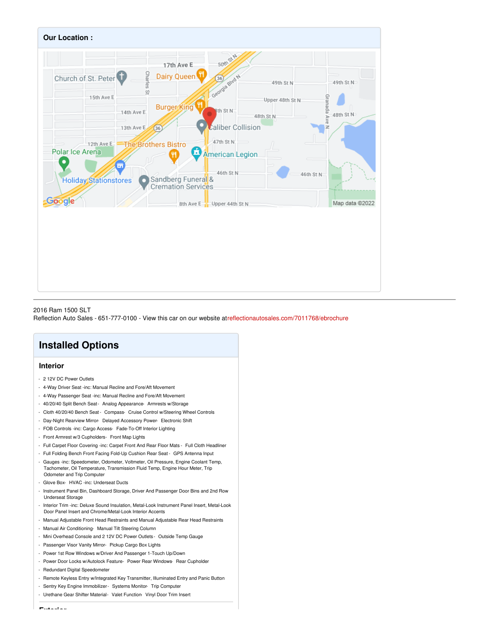

### 2016 Ram 1500 SLT Reflection Auto Sales - 651-777-0100 - View this car on our website a[treflectionautosales.com/7011768/ebrochure](https://reflectionautosales.com/vehicle/7011768/2016-ram-1500-slt-oakdale-minnesota-55128/7011768/ebrochure)

# **Installed Options**

## **Interior**

- 2 12V DC Power Outlets
- 4-Way Driver Seat -inc: Manual Recline and Fore/Aft Movement
- 4-Way Passenger Seat -inc: Manual Recline and Fore/Aft Movement
- 40/20/40 Split Bench Seat- Analog Appearance- Armrests w/Storage
- Cloth 40/20/40 Bench Seat Compass- Cruise Control w/Steering Wheel Controls
- Day-Night Rearview Mirror- Delayed Accessory Power- Electronic Shift
- FOB Controls -inc: Cargo Access- Fade-To-Off Interior Lighting
- Front Armrest w/3 Cupholders- Front Map Lights
- Full Carpet Floor Covering -inc: Carpet Front And Rear Floor Mats Full Cloth Headliner
- Full Folding Bench Front Facing Fold-Up Cushion Rear Seat GPS Antenna Input
- Gauges -inc: Speedometer, Odometer, Voltmeter, Oil Pressure, Engine Coolant Temp, Tachometer, Oil Temperature, Transmission Fluid Temp, Engine Hour Meter, Trip Odometer and Trip Computer
- Glove Box- HVAC -inc: Underseat Ducts
- Instrument Panel Bin, Dashboard Storage, Driver And Passenger Door Bins and 2nd Row Underseat Storage
- Interior Trim -inc: Deluxe Sound Insulation, Metal-Look Instrument Panel Insert, Metal-Look Door Panel Insert and Chrome/Metal-Look Interior Accents
- Manual Adjustable Front Head Restraints and Manual Adjustable Rear Head Restraints
- Manual Air Conditioning- Manual Tilt Steering Column
- Mini Overhead Console and 2 12V DC Power Outlets Outside Temp Gauge
- Passenger Visor Vanity Mirror- Pickup Cargo Box Lights
- Power 1st Row Windows w/Driver And Passenger 1-Touch Up/Down
- Power Door Locks w/Autolock Feature- Power Rear Windows- Rear Cupholder
- Redundant Digital Speedometer
- Remote Keyless Entry w/Integrated Key Transmitter, Illuminated Entry and Panic Button
- Sentry Key Engine Immobilizer- Systems Monitor- Trip Computer
- Urethane Gear Shifter Material- Valet Function- Vinyl Door Trim Insert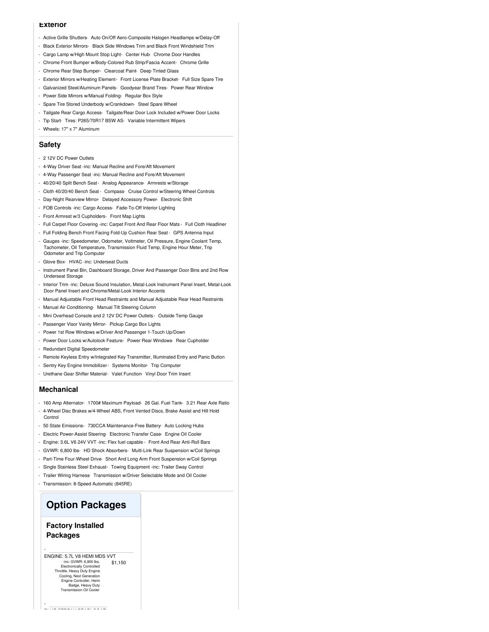#### **Exterior**

- Active Grille Shutters- Auto On/Off Aero-Composite Halogen Headlamps w/Delay-Off
- Black Exterior Mirrors- Black Side Windows Trim and Black Front Windshield Trim
- Cargo Lamp w/High Mount Stop Light- Center Hub- Chrome Door Handles
- Chrome Front Bumper w/Body-Colored Rub Strip/Fascia Accent- Chrome Grille
- Chrome Rear Step Bumper- Clearcoat Paint- Deep Tinted Glass
- Exterior Mirrors w/Heating Element- Front License Plate Bracket- Full Size Spare Tire
- Galvanized Steel/Aluminum Panels- Goodyear Brand Tires- Power Rear Window
- Power Side Mirrors w/Manual Folding- Regular Box Style
- Spare Tire Stored Underbody w/Crankdown- Steel Spare Wheel
- Tailgate Rear Cargo Access- Tailgate/Rear Door Lock Included w/Power Door Locks
- Tip Start- Tires: P265/70R17 BSW AS- Variable Intermittent Wipers
- Wheels: 17" x 7" Aluminum

#### **Safety**

- 2 12V DC Power Outlets
- 4-Way Driver Seat -inc: Manual Recline and Fore/Aft Movement
- 4-Way Passenger Seat -inc: Manual Recline and Fore/Aft Movement
- 40/20/40 Split Bench Seat- Analog Appearance- Armrests w/Storage
- Cloth 40/20/40 Bench Seat Compass- Cruise Control w/Steering Wheel Controls
- Day-Night Rearview Mirror- Delayed Accessory Power- Electronic Shift
- FOB Controls -inc: Cargo Access- Fade-To-Off Interior Lighting
- Front Armrest w/3 Cupholders- Front Map Lights
- Full Carpet Floor Covering -inc: Carpet Front And Rear Floor Mats Full Cloth Headliner
- Full Folding Bench Front Facing Fold-Up Cushion Rear Seat GPS Antenna Input
- Gauges -inc: Speedometer, Odometer, Voltmeter, Oil Pressure, Engine Coolant Temp, Tachometer, Oil Temperature, Transmission Fluid Temp, Engine Hour Meter, Trip Odometer and Trip Computer
- Glove Box- HVAC -inc: Underseat Ducts
- Instrument Panel Bin, Dashboard Storage, Driver And Passenger Door Bins and 2nd Row Underseat Storage
- Interior Trim -inc: Deluxe Sound Insulation, Metal-Look Instrument Panel Insert, Metal-Look Door Panel Insert and Chrome/Metal-Look Interior Accents
- Manual Adjustable Front Head Restraints and Manual Adjustable Rear Head Restraints
- Manual Air Conditioning- Manual Tilt Steering Column
- Mini Overhead Console and 2 12V DC Power Outlets Outside Temp Gauge
- Passenger Visor Vanity Mirror- Pickup Cargo Box Lights
- Power 1st Row Windows w/Driver And Passenger 1-Touch Up/Down
- Power Door Locks w/Autolock Feature- Power Rear Windows- Rear Cupholder
- Redundant Digital Speedometer
- Remote Keyless Entry w/Integrated Key Transmitter, Illuminated Entry and Panic Button
- Sentry Key Engine Immobilizer Systems Monitor- Trip Computer
- Urethane Gear Shifter Material- Valet Function- Vinyl Door Trim Insert

### **Mechanical**

- 160 Amp Alternator- 1700# Maximum Payload- 26 Gal. Fuel Tank- 3.21 Rear Axle Ratio
- 4-Wheel Disc Brakes w/4-Wheel ABS, Front Vented Discs, Brake Assist and Hill Hold Control
- 50 State Emissions- 730CCA Maintenance-Free Battery- Auto Locking Hubs
- Electric Power-Assist Steering- Electronic Transfer Case- Engine Oil Cooler
- Engine: 3.6L V6 24V VVT -inc: Flex fuel capable Front And Rear Anti-Roll Bars
- GVWR: 6,800 lbs- HD Shock Absorbers- Multi-Link Rear Suspension w/Coil Springs
- Part-Time Four-Wheel Drive- Short And Long Arm Front Suspension w/Coil Springs
- Single Stainless Steel Exhaust- Towing Equipment -inc: Trailer Sway Control
- Trailer Wiring Harness- Transmission w/Driver Selectable Mode and Oil Cooler
- Transmission: 8-Speed Automatic (845RE)

## **Option Packages**

## **Factory Installed Packages**

-

\$1,150 ENGINE: 5.7L V8 HEMI MDS VVT -inc: GVWR: 6,900 lbs, Electronically Controlled Throttle, Heavy Duty Engine Cooling, Next Generation Engine Controller, Hemi Badge, Heavy Duty Transmission Oil Cooler